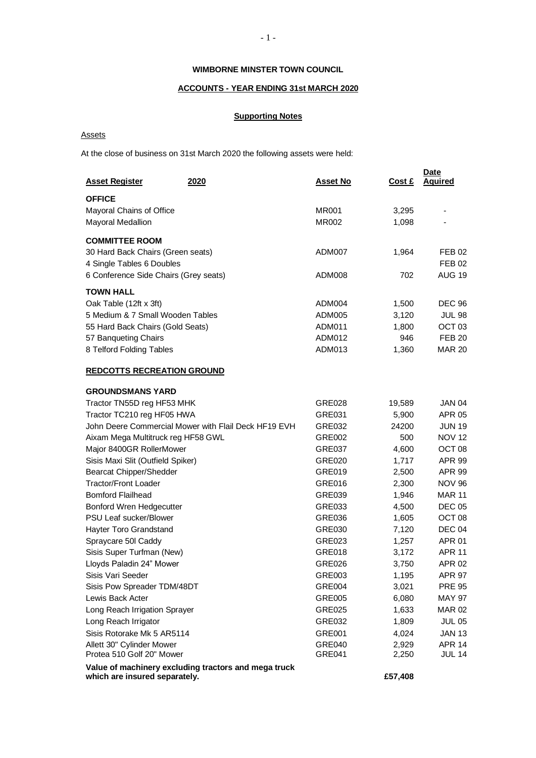# **WIMBORNE MINSTER TOWN COUNCIL**

# **ACCOUNTS - YEAR ENDING 31st MARCH 2020**

# **Supporting Notes**

Assets

At the close of business on 31st March 2020 the following assets were held:

| <b>Asset Register</b><br>2020                        | <b>Asset No</b> | Cost £ | <b>Date</b><br><b>Aquired</b> |
|------------------------------------------------------|-----------------|--------|-------------------------------|
| <b>OFFICE</b>                                        |                 |        |                               |
| Mayoral Chains of Office                             | <b>MR001</b>    | 3,295  |                               |
| <b>Mayoral Medallion</b>                             | <b>MR002</b>    | 1,098  |                               |
| <b>COMMITTEE ROOM</b>                                |                 |        |                               |
| 30 Hard Back Chairs (Green seats)                    | ADM007          | 1,964  | <b>FEB 02</b>                 |
| 4 Single Tables 6 Doubles                            |                 |        | <b>FEB 02</b>                 |
| 6 Conference Side Chairs (Grey seats)                | ADM008          | 702    | <b>AUG 19</b>                 |
| <b>TOWN HALL</b>                                     |                 |        |                               |
| Oak Table (12ft x 3ft)                               | ADM004          | 1,500  | <b>DEC 96</b>                 |
| 5 Medium & 7 Small Wooden Tables                     | ADM005          | 3,120  | <b>JUL 98</b>                 |
| 55 Hard Back Chairs (Gold Seats)                     | ADM011          | 1,800  | OCT <sub>03</sub>             |
| 57 Banqueting Chairs                                 | ADM012          | 946    | <b>FEB 20</b>                 |
| 8 Telford Folding Tables                             | ADM013          | 1,360  | <b>MAR 20</b>                 |
|                                                      |                 |        |                               |
| <b>REDCOTTS RECREATION GROUND</b>                    |                 |        |                               |
| <b>GROUNDSMANS YARD</b>                              |                 |        |                               |
| Tractor TN55D reg HF53 MHK                           | <b>GRE028</b>   | 19,589 | <b>JAN 04</b>                 |
| Tractor TC210 reg HF05 HWA                           | GRE031          | 5,900  | <b>APR 05</b>                 |
| John Deere Commercial Mower with Flail Deck HF19 EVH | GRE032          | 24200  | <b>JUN 19</b>                 |
| Aixam Mega Multitruck reg HF58 GWL                   | <b>GRE002</b>   | 500    | <b>NOV 12</b>                 |
| Major 8400GR RollerMower                             | GRE037          | 4,600  | OCT <sub>08</sub>             |
| Sisis Maxi Slit (Outfield Spiker)                    | GRE020          | 1,717  | <b>APR 99</b>                 |
| <b>Bearcat Chipper/Shedder</b>                       | GRE019          | 2,500  | <b>APR 99</b>                 |
| <b>Tractor/Front Loader</b>                          | GRE016          | 2,300  | <b>NOV 96</b>                 |
| <b>Bomford Flailhead</b>                             | GRE039          | 1,946  | <b>MAR 11</b>                 |
| Bonford Wren Hedgecutter                             | GRE033          | 4,500  | <b>DEC 05</b>                 |
| PSU Leaf sucker/Blower                               | GRE036          | 1,605  | OCT <sub>08</sub>             |
| Hayter Toro Grandstand                               | GRE030          | 7,120  | <b>DEC 04</b>                 |
| Spraycare 50l Caddy                                  | GRE023          | 1,257  | APR 01                        |
| Sisis Super Turfman (New)                            | GRE018          | 3,172  | <b>APR 11</b>                 |
| Lloyds Paladin 24" Mower                             | GRE026          | 3,750  | <b>APR 02</b>                 |
| Sisis Vari Seeder                                    | GRE003          | 1,195  | APR 97                        |
| Sisis Pow Spreader TDM/48DT                          | GRE004          | 3,021  | <b>PRE 95</b>                 |
| Lewis Back Acter                                     | GRE005          | 6,080  | <b>MAY 97</b>                 |
| Long Reach Irrigation Sprayer                        | <b>GRE025</b>   | 1,633  | <b>MAR 02</b>                 |
| Long Reach Irrigator                                 | GRE032          | 1,809  | <b>JUL 05</b>                 |
| Sisis Rotorake Mk 5 AR5114                           | GRE001          | 4,024  | <b>JAN 13</b>                 |
| Allett 30" Cylinder Mower                            | GRE040          | 2,929  | <b>APR 14</b>                 |
| Protea 510 Golf 20" Mower                            | <b>GRE041</b>   | 2,250  | <b>JUL 14</b>                 |
| Value of machinery excluding tractors and mega truck |                 |        |                               |

**which are insured separately. £57,408**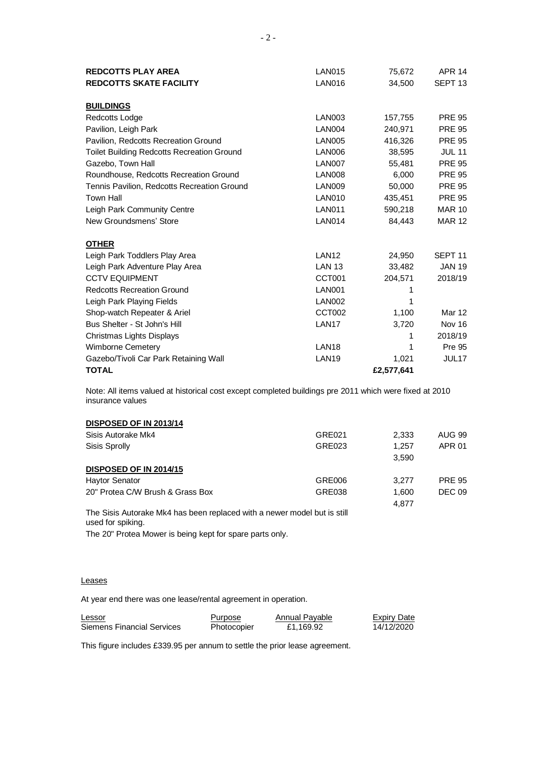| <b>REDCOTTS PLAY AREA</b>                         | <b>LAN015</b>     | 75,672     | <b>APR 14</b>      |
|---------------------------------------------------|-------------------|------------|--------------------|
| <b>REDCOTTS SKATE FACILITY</b>                    | <b>LAN016</b>     | 34,500     | SEPT <sub>13</sub> |
|                                                   |                   |            |                    |
| <b>BUILDINGS</b>                                  |                   |            |                    |
| Redcotts Lodge                                    | <b>LAN003</b>     | 157,755    | <b>PRE 95</b>      |
| Pavilion, Leigh Park                              | <b>LAN004</b>     | 240,971    | <b>PRE 95</b>      |
| Pavilion, Redcotts Recreation Ground              | <b>LAN005</b>     | 416,326    | <b>PRE 95</b>      |
| <b>Toilet Building Redcotts Recreation Ground</b> | <b>LAN006</b>     | 38,595     | <b>JUL 11</b>      |
| Gazebo, Town Hall                                 | <b>LAN007</b>     | 55,481     | <b>PRE 95</b>      |
| Roundhouse, Redcotts Recreation Ground            | <b>LAN008</b>     | 6,000      | <b>PRE 95</b>      |
| Tennis Pavilion, Redcotts Recreation Ground       | <b>LAN009</b>     | 50,000     | <b>PRE 95</b>      |
| <b>Town Hall</b>                                  | <b>LAN010</b>     | 435,451    | <b>PRE 95</b>      |
| Leigh Park Community Centre                       | <b>LAN011</b>     | 590,218    | <b>MAR 10</b>      |
| New Groundsmens' Store                            | <b>LAN014</b>     | 84,443     | <b>MAR 12</b>      |
| <b>OTHER</b>                                      |                   |            |                    |
| Leigh Park Toddlers Play Area                     | LAN <sub>12</sub> | 24,950     | SEPT <sub>11</sub> |
| Leigh Park Adventure Play Area                    | <b>LAN 13</b>     | 33,482     | <b>JAN 19</b>      |
| <b>CCTV EQUIPMENT</b>                             | CCT001            | 204,571    | 2018/19            |
| <b>Redcotts Recreation Ground</b>                 | <b>LAN001</b>     | 1          |                    |
| Leigh Park Playing Fields                         | <b>LAN002</b>     | 1          |                    |
| Shop-watch Repeater & Ariel                       | CCT002            | 1,100      | Mar 12             |
| Bus Shelter - St John's Hill                      | LAN <sub>17</sub> | 3,720      | Nov 16             |
| Christmas Lights Displays                         |                   | 1          | 2018/19            |
| <b>Wimborne Cemetery</b>                          | LAN <sub>18</sub> | 1          | <b>Pre 95</b>      |
| Gazebo/Tivoli Car Park Retaining Wall             | LAN <sub>19</sub> | 1,021      | JUL <sub>17</sub>  |
| <b>TOTAL</b>                                      |                   | £2,577,641 |                    |

Note: All items valued at historical cost except completed buildings pre 2011 which were fixed at 2010 insurance values

# **DISPOSED OF IN 2013/14**

| Sisis Autorake Mk4                                                                            | GRE021 | 2,333 | AUG 99        |
|-----------------------------------------------------------------------------------------------|--------|-------|---------------|
| Sisis Sprolly                                                                                 | GRE023 | 1.257 | APR 01        |
|                                                                                               |        | 3,590 |               |
| <b>DISPOSED OF IN 2014/15</b>                                                                 |        |       |               |
| <b>Haytor Senator</b>                                                                         | GRE006 | 3.277 | <b>PRE 95</b> |
| 20" Protea C/W Brush & Grass Box                                                              | GRE038 | 1.600 | <b>DEC 09</b> |
|                                                                                               |        | 4.877 |               |
| The Sisis Autorake Mk4 has been replaced with a newer model but is still<br>used for spiking. |        |       |               |

The 20" Protea Mower is being kept for spare parts only.

### **Leases**

At year end there was one lease/rental agreement in operation.

| Lessor                     | Purpose     | Annual Payable | <b>Expiry Date</b> |
|----------------------------|-------------|----------------|--------------------|
| Siemens Financial Services | Photocopier | £1,169.92      | 14/12/2020         |

This figure includes £339.95 per annum to settle the prior lease agreement.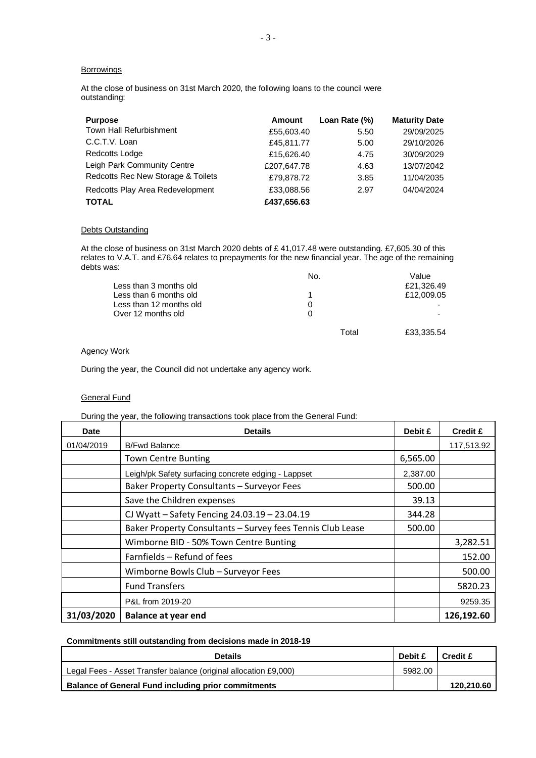### **Borrowings**

At the close of business on 31st March 2020, the following loans to the council were outstanding:

| <b>Purpose</b>                     | Amount      | Loan Rate (%) | <b>Maturity Date</b> |
|------------------------------------|-------------|---------------|----------------------|
| <b>Town Hall Refurbishment</b>     | £55,603.40  | 5.50          | 29/09/2025           |
| C.C.T.V. Loan                      | £45,811.77  | 5.00          | 29/10/2026           |
| Redcotts Lodge                     | £15,626.40  | 4.75          | 30/09/2029           |
| Leigh Park Community Centre        | £207,647.78 | 4.63          | 13/07/2042           |
| Redcotts Rec New Storage & Toilets | £79,878.72  | 3.85          | 11/04/2035           |
| Redcotts Play Area Redevelopment   | £33,088.56  | 2.97          | 04/04/2024           |
| <b>TOTAL</b>                       | £437,656.63 |               |                      |

### **Debts Outstanding**

At the close of business on 31st March 2020 debts of £ 41,017.48 were outstanding. £7,605.30 of this relates to V.A.T. and £76.64 relates to prepayments for the new financial year. The age of the remaining debts was:

|                         | No.   | Value                    |
|-------------------------|-------|--------------------------|
| Less than 3 months old  |       | £21,326.49               |
| Less than 6 months old  |       | £12,009.05               |
| Less than 12 months old | 0     | -                        |
| Over 12 months old      | 0     | $\overline{\phantom{0}}$ |
|                         |       |                          |
|                         | Total | £33,335.54               |
|                         |       |                          |

## Agency Work

During the year, the Council did not undertake any agency work.

# General Fund

#### During the year, the following transactions took place from the General Fund:

| <b>Date</b> | <b>Details</b>                                             |          | <b>Credit £</b> |
|-------------|------------------------------------------------------------|----------|-----------------|
| 01/04/2019  | <b>B/Fwd Balance</b>                                       |          | 117,513.92      |
|             | <b>Town Centre Bunting</b>                                 | 6,565.00 |                 |
|             | Leigh/pk Safety surfacing concrete edging - Lappset        | 2,387.00 |                 |
|             | Baker Property Consultants - Surveyor Fees                 | 500.00   |                 |
|             | Save the Children expenses                                 | 39.13    |                 |
|             | CJ Wyatt - Safety Fencing 24.03.19 - 23.04.19              | 344.28   |                 |
|             | Baker Property Consultants - Survey fees Tennis Club Lease | 500.00   |                 |
|             | Wimborne BID - 50% Town Centre Bunting                     |          | 3,282.51        |
|             | Farnfields – Refund of fees                                |          | 152.00          |
|             | Wimborne Bowls Club - Surveyor Fees                        |          | 500.00          |
|             | <b>Fund Transfers</b>                                      |          | 5820.23         |
|             | P&L from 2019-20                                           |          | 9259.35         |
| 31/03/2020  | <b>Balance at year end</b>                                 |          | 126,192.60      |

### **Commitments still outstanding from decisions made in 2018-19**

| <b>Details</b>                                                   | <b>Debit £</b> | Credit £   |
|------------------------------------------------------------------|----------------|------------|
| Legal Fees - Asset Transfer balance (original allocation £9,000) | 5982.00        |            |
| <b>Balance of General Fund including prior commitments</b>       |                | 120,210.60 |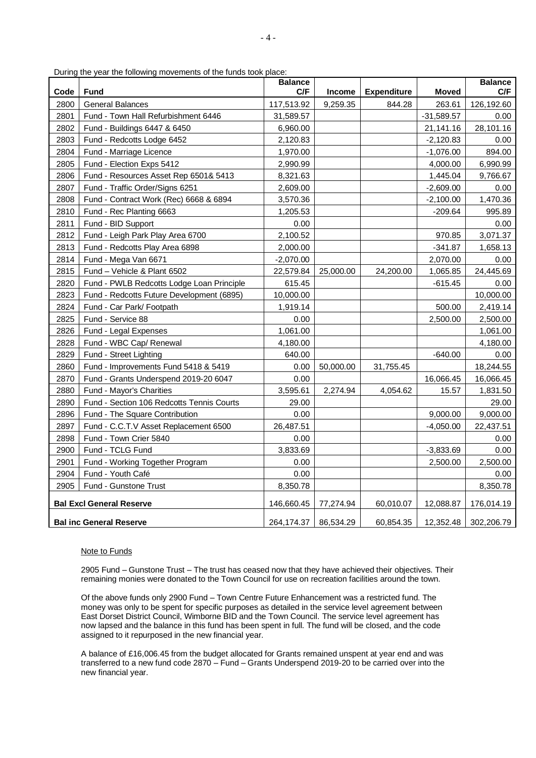During the year the following movements of the funds took place:

| Code | <b>Daring the year the following movements of the farias took</b><br><b>Fund</b> | <b>Balance</b><br>C/F | Income    | <b>Expenditure</b> | <b>Moved</b> | <b>Balance</b><br>C/F |
|------|----------------------------------------------------------------------------------|-----------------------|-----------|--------------------|--------------|-----------------------|
| 2800 | <b>General Balances</b>                                                          | 117,513.92            | 9,259.35  | 844.28             | 263.61       | 126,192.60            |
| 2801 | Fund - Town Hall Refurbishment 6446                                              | 31,589.57             |           |                    | $-31,589.57$ | 0.00                  |
| 2802 | Fund - Buildings 6447 & 6450                                                     | 6,960.00              |           |                    | 21,141.16    | 28,101.16             |
| 2803 | Fund - Redcotts Lodge 6452                                                       | 2,120.83              |           |                    | $-2,120.83$  | 0.00                  |
| 2804 | Fund - Marriage Licence                                                          | 1,970.00              |           |                    | $-1,076.00$  | 894.00                |
| 2805 | Fund - Election Exps 5412                                                        | 2,990.99              |           |                    | 4,000.00     | 6,990.99              |
| 2806 | Fund - Resources Asset Rep 6501& 5413                                            | 8,321.63              |           |                    | 1,445.04     | 9,766.67              |
| 2807 | Fund - Traffic Order/Signs 6251                                                  | 2,609.00              |           |                    | $-2,609.00$  | 0.00                  |
| 2808 | Fund - Contract Work (Rec) 6668 & 6894                                           | 3,570.36              |           |                    | $-2,100.00$  | 1,470.36              |
| 2810 | Fund - Rec Planting 6663                                                         | 1,205.53              |           |                    | $-209.64$    | 995.89                |
| 2811 | Fund - BID Support                                                               | 0.00                  |           |                    |              | 0.00                  |
| 2812 | Fund - Leigh Park Play Area 6700                                                 | 2,100.52              |           |                    | 970.85       | 3,071.37              |
| 2813 | Fund - Redcotts Play Area 6898                                                   | 2,000.00              |           |                    | $-341.87$    | 1,658.13              |
| 2814 | Fund - Mega Van 6671                                                             | $-2,070.00$           |           |                    | 2,070.00     | 0.00                  |
| 2815 | Fund - Vehicle & Plant 6502                                                      | 22,579.84             | 25,000.00 | 24,200.00          | 1,065.85     | 24,445.69             |
| 2820 | Fund - PWLB Redcotts Lodge Loan Principle                                        | 615.45                |           |                    | $-615.45$    | 0.00                  |
| 2823 | Fund - Redcotts Future Development (6895)                                        | 10,000.00             |           |                    |              | 10,000.00             |
| 2824 | Fund - Car Park/ Footpath                                                        | 1,919.14              |           |                    | 500.00       | 2,419.14              |
| 2825 | Fund - Service 88                                                                | 0.00                  |           |                    | 2,500.00     | 2,500.00              |
| 2826 | Fund - Legal Expenses                                                            | 1,061.00              |           |                    |              | 1,061.00              |
| 2828 | Fund - WBC Cap/ Renewal                                                          | 4,180.00              |           |                    |              | 4,180.00              |
| 2829 | Fund - Street Lighting                                                           | 640.00                |           |                    | $-640.00$    | 0.00                  |
| 2860 | Fund - Improvements Fund 5418 & 5419                                             | 0.00                  | 50,000.00 | 31,755.45          |              | 18,244.55             |
| 2870 | Fund - Grants Underspend 2019-20 6047                                            | 0.00                  |           |                    | 16,066.45    | 16,066.45             |
| 2880 | Fund - Mayor's Charities                                                         | 3,595.61              | 2,274.94  | 4,054.62           | 15.57        | 1,831.50              |
| 2890 | Fund - Section 106 Redcotts Tennis Courts                                        | 29.00                 |           |                    |              | 29.00                 |
| 2896 | Fund - The Square Contribution                                                   | 0.00                  |           |                    | 9,000.00     | 9,000.00              |
| 2897 | Fund - C.C.T.V Asset Replacement 6500                                            | 26,487.51             |           |                    | $-4,050.00$  | 22,437.51             |
| 2898 | Fund - Town Crier 5840                                                           | 0.00                  |           |                    |              | 0.00                  |
| 2900 | Fund - TCLG Fund                                                                 | 3,833.69              |           |                    | $-3,833.69$  | 0.00                  |
| 2901 | Fund - Working Together Program                                                  | 0.00                  |           |                    | 2,500.00     | 2,500.00              |
| 2904 | Fund - Youth Café                                                                | 0.00                  |           |                    |              | 0.00                  |
| 2905 | Fund - Gunstone Trust                                                            | 8,350.78              |           |                    |              | 8,350.78              |
|      | <b>Bal Excl General Reserve</b>                                                  | 146,660.45            | 77,274.94 | 60,010.07          | 12,088.87    | 176,014.19            |
|      | <b>Bal inc General Reserve</b>                                                   | 264,174.37            | 86,534.29 | 60,854.35          | 12,352.48    | 302,206.79            |

#### Note to Funds

2905 Fund – Gunstone Trust – The trust has ceased now that they have achieved their objectives. Their remaining monies were donated to the Town Council for use on recreation facilities around the town.

Of the above funds only 2900 Fund – Town Centre Future Enhancement was a restricted fund. The money was only to be spent for specific purposes as detailed in the service level agreement between East Dorset District Council, Wimborne BID and the Town Council. The service level agreement has now lapsed and the balance in this fund has been spent in full. The fund will be closed, and the code assigned to it repurposed in the new financial year.

A balance of £16,006.45 from the budget allocated for Grants remained unspent at year end and was transferred to a new fund code 2870 – Fund – Grants Underspend 2019-20 to be carried over into the new financial year.